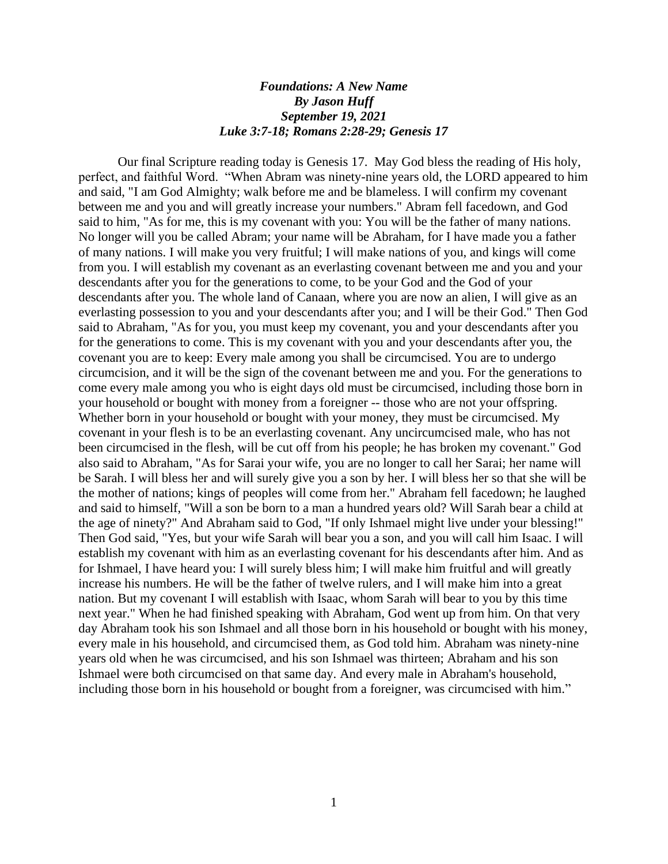## *Foundations: A New Name By Jason Huff September 19, 2021 Luke 3:7-18; Romans 2:28-29; Genesis 17*

Our final Scripture reading today is Genesis 17. May God bless the reading of His holy, perfect, and faithful Word. "When Abram was ninety-nine years old, the LORD appeared to him and said, "I am God Almighty; walk before me and be blameless. I will confirm my covenant between me and you and will greatly increase your numbers." Abram fell facedown, and God said to him, "As for me, this is my covenant with you: You will be the father of many nations. No longer will you be called Abram; your name will be Abraham, for I have made you a father of many nations. I will make you very fruitful; I will make nations of you, and kings will come from you. I will establish my covenant as an everlasting covenant between me and you and your descendants after you for the generations to come, to be your God and the God of your descendants after you. The whole land of Canaan, where you are now an alien, I will give as an everlasting possession to you and your descendants after you; and I will be their God." Then God said to Abraham, "As for you, you must keep my covenant, you and your descendants after you for the generations to come. This is my covenant with you and your descendants after you, the covenant you are to keep: Every male among you shall be circumcised. You are to undergo circumcision, and it will be the sign of the covenant between me and you. For the generations to come every male among you who is eight days old must be circumcised, including those born in your household or bought with money from a foreigner -- those who are not your offspring. Whether born in your household or bought with your money, they must be circumcised. My covenant in your flesh is to be an everlasting covenant. Any uncircumcised male, who has not been circumcised in the flesh, will be cut off from his people; he has broken my covenant." God also said to Abraham, "As for Sarai your wife, you are no longer to call her Sarai; her name will be Sarah. I will bless her and will surely give you a son by her. I will bless her so that she will be the mother of nations; kings of peoples will come from her." Abraham fell facedown; he laughed and said to himself, "Will a son be born to a man a hundred years old? Will Sarah bear a child at the age of ninety?" And Abraham said to God, "If only Ishmael might live under your blessing!" Then God said, "Yes, but your wife Sarah will bear you a son, and you will call him Isaac. I will establish my covenant with him as an everlasting covenant for his descendants after him. And as for Ishmael, I have heard you: I will surely bless him; I will make him fruitful and will greatly increase his numbers. He will be the father of twelve rulers, and I will make him into a great nation. But my covenant I will establish with Isaac, whom Sarah will bear to you by this time next year." When he had finished speaking with Abraham, God went up from him. On that very day Abraham took his son Ishmael and all those born in his household or bought with his money, every male in his household, and circumcised them, as God told him. Abraham was ninety-nine years old when he was circumcised, and his son Ishmael was thirteen; Abraham and his son Ishmael were both circumcised on that same day. And every male in Abraham's household, including those born in his household or bought from a foreigner, was circumcised with him."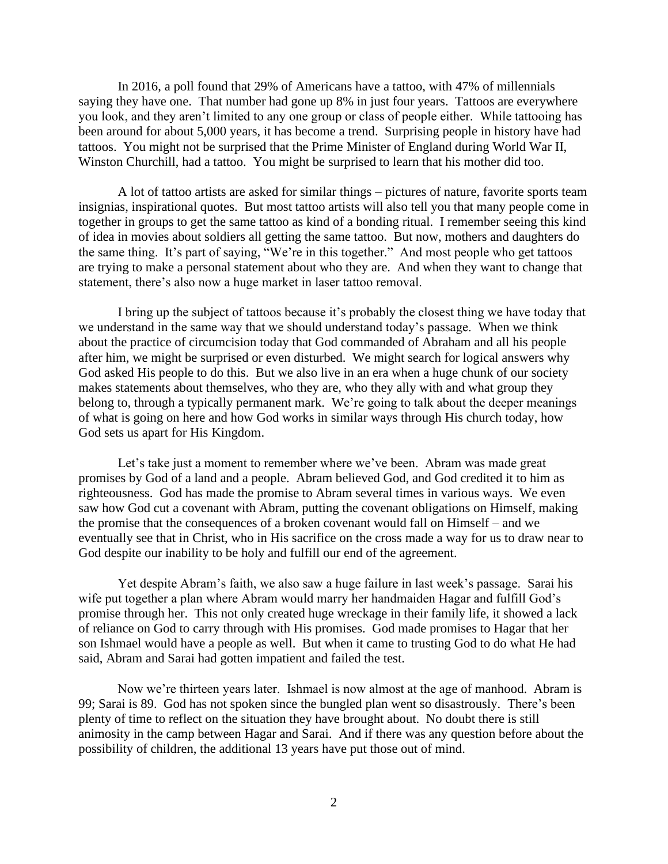In 2016, a poll found that 29% of Americans have a tattoo, with 47% of millennials saying they have one. That number had gone up 8% in just four years. Tattoos are everywhere you look, and they aren't limited to any one group or class of people either. While tattooing has been around for about 5,000 years, it has become a trend. Surprising people in history have had tattoos. You might not be surprised that the Prime Minister of England during World War II, Winston Churchill, had a tattoo. You might be surprised to learn that his mother did too.

A lot of tattoo artists are asked for similar things – pictures of nature, favorite sports team insignias, inspirational quotes. But most tattoo artists will also tell you that many people come in together in groups to get the same tattoo as kind of a bonding ritual. I remember seeing this kind of idea in movies about soldiers all getting the same tattoo. But now, mothers and daughters do the same thing. It's part of saying, "We're in this together." And most people who get tattoos are trying to make a personal statement about who they are. And when they want to change that statement, there's also now a huge market in laser tattoo removal.

I bring up the subject of tattoos because it's probably the closest thing we have today that we understand in the same way that we should understand today's passage. When we think about the practice of circumcision today that God commanded of Abraham and all his people after him, we might be surprised or even disturbed. We might search for logical answers why God asked His people to do this. But we also live in an era when a huge chunk of our society makes statements about themselves, who they are, who they ally with and what group they belong to, through a typically permanent mark. We're going to talk about the deeper meanings of what is going on here and how God works in similar ways through His church today, how God sets us apart for His Kingdom.

Let's take just a moment to remember where we've been. Abram was made great promises by God of a land and a people. Abram believed God, and God credited it to him as righteousness. God has made the promise to Abram several times in various ways. We even saw how God cut a covenant with Abram, putting the covenant obligations on Himself, making the promise that the consequences of a broken covenant would fall on Himself – and we eventually see that in Christ, who in His sacrifice on the cross made a way for us to draw near to God despite our inability to be holy and fulfill our end of the agreement.

Yet despite Abram's faith, we also saw a huge failure in last week's passage. Sarai his wife put together a plan where Abram would marry her handmaiden Hagar and fulfill God's promise through her. This not only created huge wreckage in their family life, it showed a lack of reliance on God to carry through with His promises. God made promises to Hagar that her son Ishmael would have a people as well. But when it came to trusting God to do what He had said, Abram and Sarai had gotten impatient and failed the test.

Now we're thirteen years later. Ishmael is now almost at the age of manhood. Abram is 99; Sarai is 89. God has not spoken since the bungled plan went so disastrously. There's been plenty of time to reflect on the situation they have brought about. No doubt there is still animosity in the camp between Hagar and Sarai. And if there was any question before about the possibility of children, the additional 13 years have put those out of mind.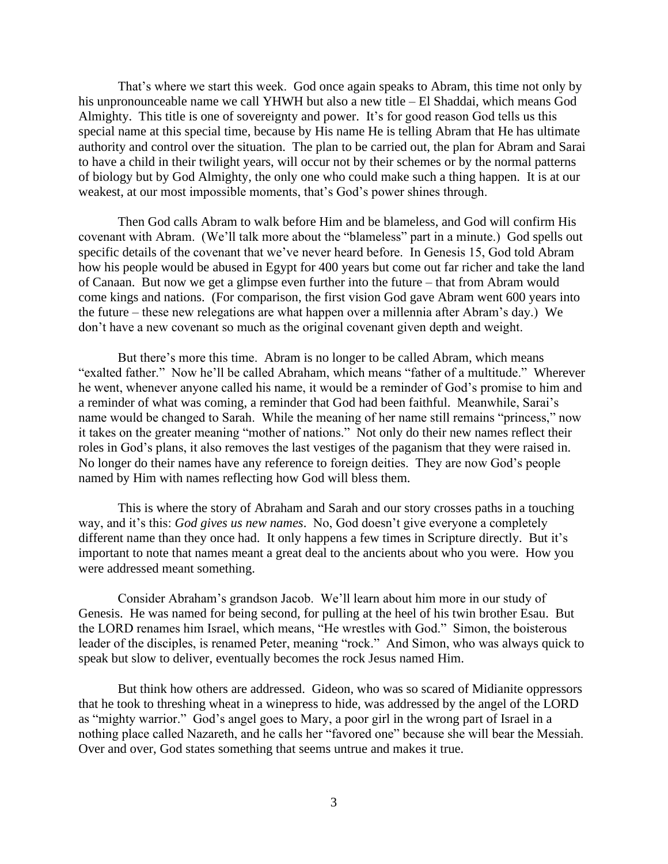That's where we start this week. God once again speaks to Abram, this time not only by his unpronounceable name we call YHWH but also a new title – El Shaddai, which means God Almighty. This title is one of sovereignty and power. It's for good reason God tells us this special name at this special time, because by His name He is telling Abram that He has ultimate authority and control over the situation. The plan to be carried out, the plan for Abram and Sarai to have a child in their twilight years, will occur not by their schemes or by the normal patterns of biology but by God Almighty, the only one who could make such a thing happen. It is at our weakest, at our most impossible moments, that's God's power shines through.

Then God calls Abram to walk before Him and be blameless, and God will confirm His covenant with Abram. (We'll talk more about the "blameless" part in a minute.) God spells out specific details of the covenant that we've never heard before. In Genesis 15, God told Abram how his people would be abused in Egypt for 400 years but come out far richer and take the land of Canaan. But now we get a glimpse even further into the future – that from Abram would come kings and nations. (For comparison, the first vision God gave Abram went 600 years into the future – these new relegations are what happen over a millennia after Abram's day.) We don't have a new covenant so much as the original covenant given depth and weight.

But there's more this time. Abram is no longer to be called Abram, which means "exalted father." Now he'll be called Abraham, which means "father of a multitude." Wherever he went, whenever anyone called his name, it would be a reminder of God's promise to him and a reminder of what was coming, a reminder that God had been faithful. Meanwhile, Sarai's name would be changed to Sarah. While the meaning of her name still remains "princess," now it takes on the greater meaning "mother of nations." Not only do their new names reflect their roles in God's plans, it also removes the last vestiges of the paganism that they were raised in. No longer do their names have any reference to foreign deities. They are now God's people named by Him with names reflecting how God will bless them.

This is where the story of Abraham and Sarah and our story crosses paths in a touching way, and it's this: *God gives us new names*. No, God doesn't give everyone a completely different name than they once had. It only happens a few times in Scripture directly. But it's important to note that names meant a great deal to the ancients about who you were. How you were addressed meant something.

Consider Abraham's grandson Jacob. We'll learn about him more in our study of Genesis. He was named for being second, for pulling at the heel of his twin brother Esau. But the LORD renames him Israel, which means, "He wrestles with God." Simon, the boisterous leader of the disciples, is renamed Peter, meaning "rock." And Simon, who was always quick to speak but slow to deliver, eventually becomes the rock Jesus named Him.

But think how others are addressed. Gideon, who was so scared of Midianite oppressors that he took to threshing wheat in a winepress to hide, was addressed by the angel of the LORD as "mighty warrior." God's angel goes to Mary, a poor girl in the wrong part of Israel in a nothing place called Nazareth, and he calls her "favored one" because she will bear the Messiah. Over and over, God states something that seems untrue and makes it true.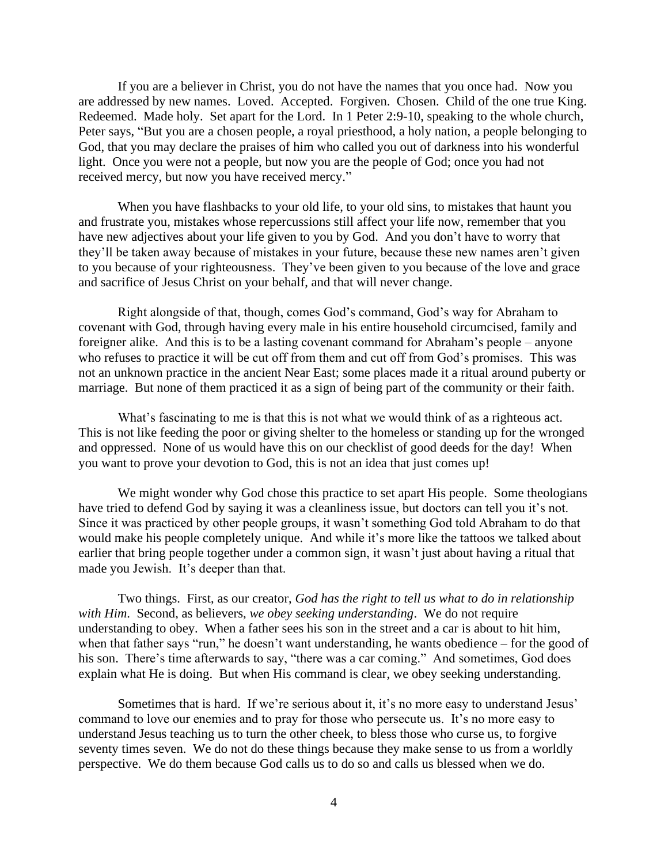If you are a believer in Christ, you do not have the names that you once had. Now you are addressed by new names. Loved. Accepted. Forgiven. Chosen. Child of the one true King. Redeemed. Made holy. Set apart for the Lord. In 1 Peter 2:9-10, speaking to the whole church, Peter says, "But you are a chosen people, a royal priesthood, a holy nation, a people belonging to God, that you may declare the praises of him who called you out of darkness into his wonderful light. Once you were not a people, but now you are the people of God; once you had not received mercy, but now you have received mercy."

When you have flashbacks to your old life, to your old sins, to mistakes that haunt you and frustrate you, mistakes whose repercussions still affect your life now, remember that you have new adjectives about your life given to you by God. And you don't have to worry that they'll be taken away because of mistakes in your future, because these new names aren't given to you because of your righteousness. They've been given to you because of the love and grace and sacrifice of Jesus Christ on your behalf, and that will never change.

Right alongside of that, though, comes God's command, God's way for Abraham to covenant with God, through having every male in his entire household circumcised, family and foreigner alike. And this is to be a lasting covenant command for Abraham's people – anyone who refuses to practice it will be cut off from them and cut off from God's promises. This was not an unknown practice in the ancient Near East; some places made it a ritual around puberty or marriage. But none of them practiced it as a sign of being part of the community or their faith.

What's fascinating to me is that this is not what we would think of as a righteous act. This is not like feeding the poor or giving shelter to the homeless or standing up for the wronged and oppressed. None of us would have this on our checklist of good deeds for the day! When you want to prove your devotion to God, this is not an idea that just comes up!

We might wonder why God chose this practice to set apart His people. Some theologians have tried to defend God by saying it was a cleanliness issue, but doctors can tell you it's not. Since it was practiced by other people groups, it wasn't something God told Abraham to do that would make his people completely unique. And while it's more like the tattoos we talked about earlier that bring people together under a common sign, it wasn't just about having a ritual that made you Jewish. It's deeper than that.

Two things. First, as our creator, *God has the right to tell us what to do in relationship with Him*. Second, as believers, *we obey seeking understanding*. We do not require understanding to obey. When a father sees his son in the street and a car is about to hit him, when that father says "run," he doesn't want understanding, he wants obedience – for the good of his son. There's time afterwards to say, "there was a car coming." And sometimes, God does explain what He is doing. But when His command is clear, we obey seeking understanding.

Sometimes that is hard. If we're serious about it, it's no more easy to understand Jesus' command to love our enemies and to pray for those who persecute us. It's no more easy to understand Jesus teaching us to turn the other cheek, to bless those who curse us, to forgive seventy times seven. We do not do these things because they make sense to us from a worldly perspective. We do them because God calls us to do so and calls us blessed when we do.